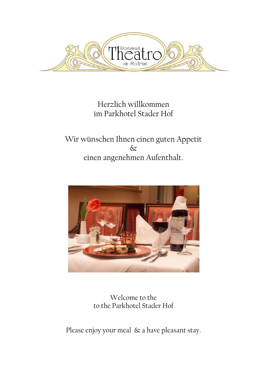

Herzlich willkommen im Parkhotel Stader Hof

Wir wünschen Ihnen einen guten Appetit  $\infty$ einen angenehmen Aufenthalt.



Welcome to the to the Parkhotel Stader Hof

Please enjoy your meal & a have pleasant stay.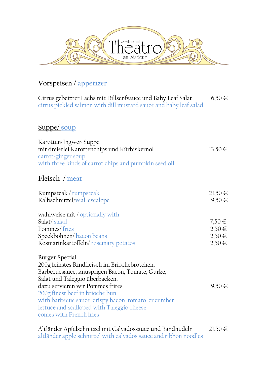

## **Vorspeisen / appetizer**

Citrus gebeizter Lachs mit Dillsenfsauce und Baby Leaf Salat 16,50 € citrus pickled salmon with dill mustard sauce and baby leaf salad

## **Suppe/ soup**

| Karotten-Ingwer-Suppe<br>mit dreierlei Karottenchips und Kürbiskernöl<br>carrot-ginger soup<br>with three kinds of carrot chips and pumpkin seed oil                                                                                                                                                                                                         | $13,50 \in$                                          |
|--------------------------------------------------------------------------------------------------------------------------------------------------------------------------------------------------------------------------------------------------------------------------------------------------------------------------------------------------------------|------------------------------------------------------|
| Fleisch / meat                                                                                                                                                                                                                                                                                                                                               |                                                      |
| Rumpsteak / rumpsteak<br>Kalbschnitzel/veal escalope                                                                                                                                                                                                                                                                                                         | $21,50 \in$<br>$19,50 \in$                           |
| wahlweise mit / optionally with:<br>Salat/salad<br>Pommes/fries<br>Speckbohnen/bacon beans<br>Rosmarinkartoffeln/rosemary potatos                                                                                                                                                                                                                            | $7,50 \in$<br>$2,50 \in$<br>$2,50 \in$<br>$2,50 \in$ |
| Burger Spezial<br>200g feinstes Rindfleisch im Briochebrötchen,<br>Barbecuesauce, knusprigen Bacon, Tomate, Gurke,<br>Salat und Taleggio überbacken,<br>dazu servieren wir Pommes frites<br>200g finest beef in brioche bun<br>with barbecue sauce, crispy bacon, tomato, cucumber,<br>lettuce and scalloped with Taleggio cheese<br>comes with French fries | $19,50 \in$                                          |

Altländer Apfelschnitzel mit Calvadossauce und Bandnudeln 21,50 € altländer apple schnitzel with calvados sauce and ribbon noodles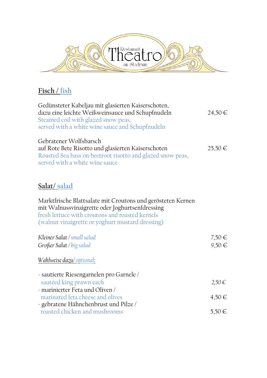

## **Fisch / fish**

| Gedünsteter Kabeljau mit glasierten Kaiserschoten,<br>dazu eine leichte Weißweinsauce und Schupfnudeln<br>Steamed cod with glazed snow peas,<br>served with a white wine sauce and Schupfnudeln                       | $24,50 \in$         |
|-----------------------------------------------------------------------------------------------------------------------------------------------------------------------------------------------------------------------|---------------------|
| Gebratener Wolfsbarsch<br>auf Rote Bete Risotto und glasierten Kaiserschoten<br>Roasted Sea bass on beetroot risotto and glazed snow peas,<br>served with a white wine sauce                                          | $25,50 \in$         |
| Salat/salad                                                                                                                                                                                                           |                     |
| Marktfrische Blattsalate mit Croutons und gerösteten Kernen<br>mit Walnussvinaigrette oder Joghurtsenfdressing<br>fresh lettuce with croutons and roasted kernels<br>(walnut vinaigrette or yoghurt mustard dressing) |                     |
| Kleiner Salat / small salad<br>Großer Salat / big salad                                                                                                                                                               | $7,50 \in$<br>9,50€ |
| Wahlweise dazu/ optional:                                                                                                                                                                                             |                     |
| - sautierte Riesengarnelen pro Garnele /<br>sautéed king prawn each<br>marinierter Feta und Oliven                                                                                                                    | 2,50€               |
| marinated feta cheese and olives<br>- gebratene Hähnchenbrust und Pilze /                                                                                                                                             | 4,50€               |
| roasted chicken and mushrooms                                                                                                                                                                                         | 5,50 €              |